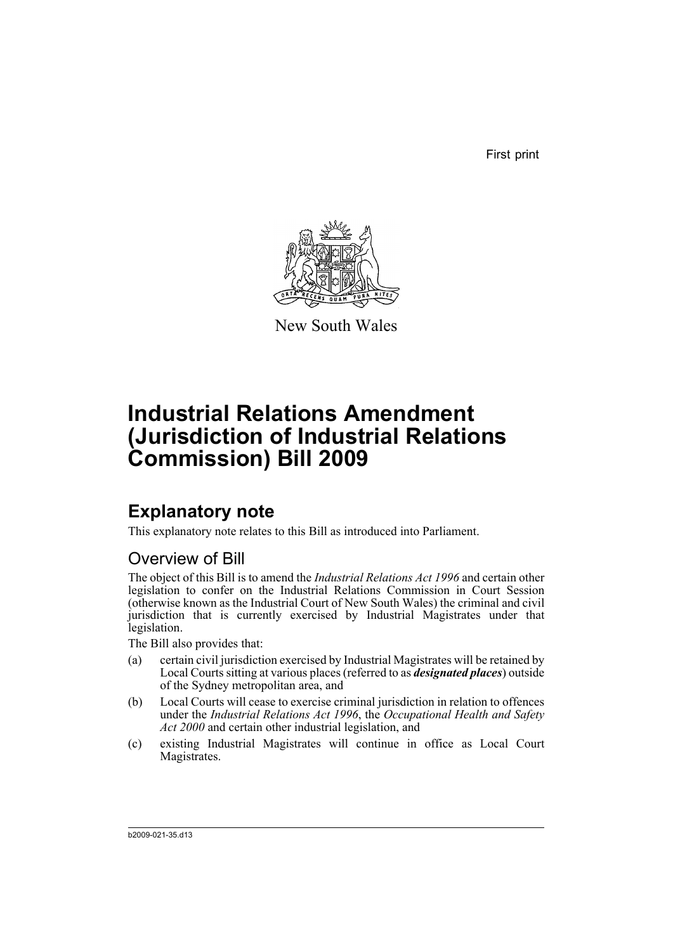First print



New South Wales

# **Industrial Relations Amendment (Jurisdiction of Industrial Relations Commission) Bill 2009**

## **Explanatory note**

This explanatory note relates to this Bill as introduced into Parliament.

### Overview of Bill

The object of this Bill is to amend the *Industrial Relations Act 1996* and certain other legislation to confer on the Industrial Relations Commission in Court Session (otherwise known as the Industrial Court of New South Wales) the criminal and civil jurisdiction that is currently exercised by Industrial Magistrates under that legislation.

The Bill also provides that:

- (a) certain civil jurisdiction exercised by Industrial Magistrates will be retained by Local Courts sitting at various places (referred to as *designated places*) outside of the Sydney metropolitan area, and
- (b) Local Courts will cease to exercise criminal jurisdiction in relation to offences under the *Industrial Relations Act 1996*, the *Occupational Health and Safety Act 2000* and certain other industrial legislation, and
- (c) existing Industrial Magistrates will continue in office as Local Court Magistrates.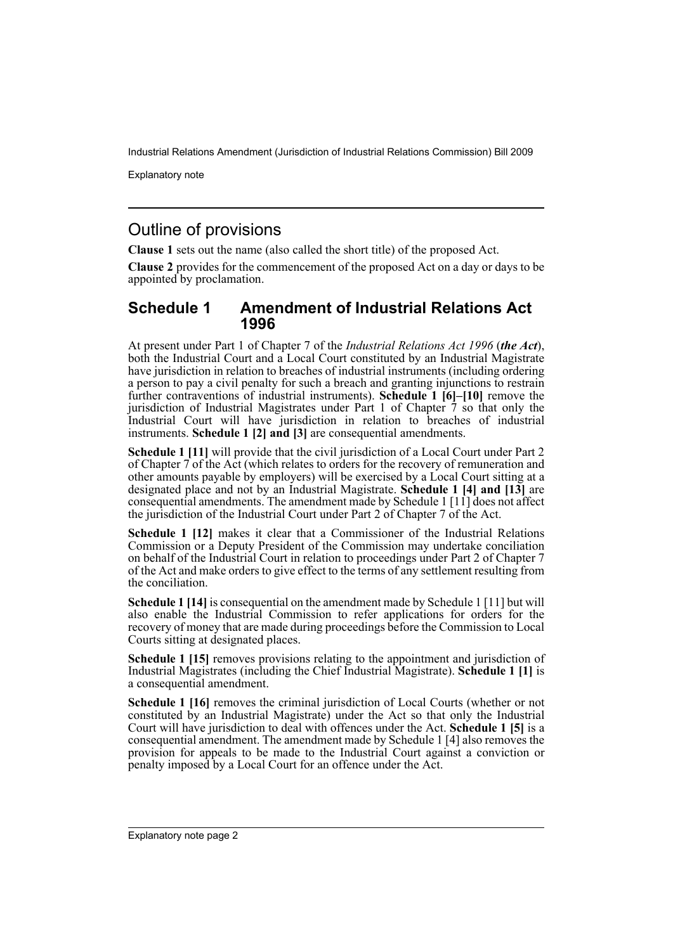Explanatory note

#### Outline of provisions

**Clause 1** sets out the name (also called the short title) of the proposed Act.

**Clause 2** provides for the commencement of the proposed Act on a day or days to be appointed by proclamation.

#### **Schedule 1 Amendment of Industrial Relations Act 1996**

At present under Part 1 of Chapter 7 of the *Industrial Relations Act 1996* (*the Act*), both the Industrial Court and a Local Court constituted by an Industrial Magistrate have jurisdiction in relation to breaches of industrial instruments (including ordering a person to pay a civil penalty for such a breach and granting injunctions to restrain further contraventions of industrial instruments). **Schedule 1 [6]–[10]** remove the jurisdiction of Industrial Magistrates under Part 1 of Chapter 7 so that only the Industrial Court will have jurisdiction in relation to breaches of industrial instruments. **Schedule 1 [2] and [3]** are consequential amendments.

**Schedule 1 [11]** will provide that the civil jurisdiction of a Local Court under Part 2 of Chapter 7 of the Act (which relates to orders for the recovery of remuneration and other amounts payable by employers) will be exercised by a Local Court sitting at a designated place and not by an Industrial Magistrate. **Schedule 1 [4] and [13]** are consequential amendments. The amendment made by Schedule 1 [11] does not affect the jurisdiction of the Industrial Court under Part 2 of Chapter 7 of the Act.

**Schedule 1 [12]** makes it clear that a Commissioner of the Industrial Relations Commission or a Deputy President of the Commission may undertake conciliation on behalf of the Industrial Court in relation to proceedings under Part 2 of Chapter 7 of the Act and make orders to give effect to the terms of any settlement resulting from the conciliation.

**Schedule 1 [14]** is consequential on the amendment made by Schedule 1 [11] but will also enable the Industrial Commission to refer applications for orders for the recovery of money that are made during proceedings before the Commission to Local Courts sitting at designated places.

**Schedule 1 [15]** removes provisions relating to the appointment and jurisdiction of Industrial Magistrates (including the Chief Industrial Magistrate). **Schedule 1 [1]** is a consequential amendment.

**Schedule 1 [16]** removes the criminal jurisdiction of Local Courts (whether or not constituted by an Industrial Magistrate) under the Act so that only the Industrial Court will have jurisdiction to deal with offences under the Act. **Schedule 1 [5]** is a consequential amendment. The amendment made by Schedule 1 [4] also removes the provision for appeals to be made to the Industrial Court against a conviction or penalty imposed by a Local Court for an offence under the Act.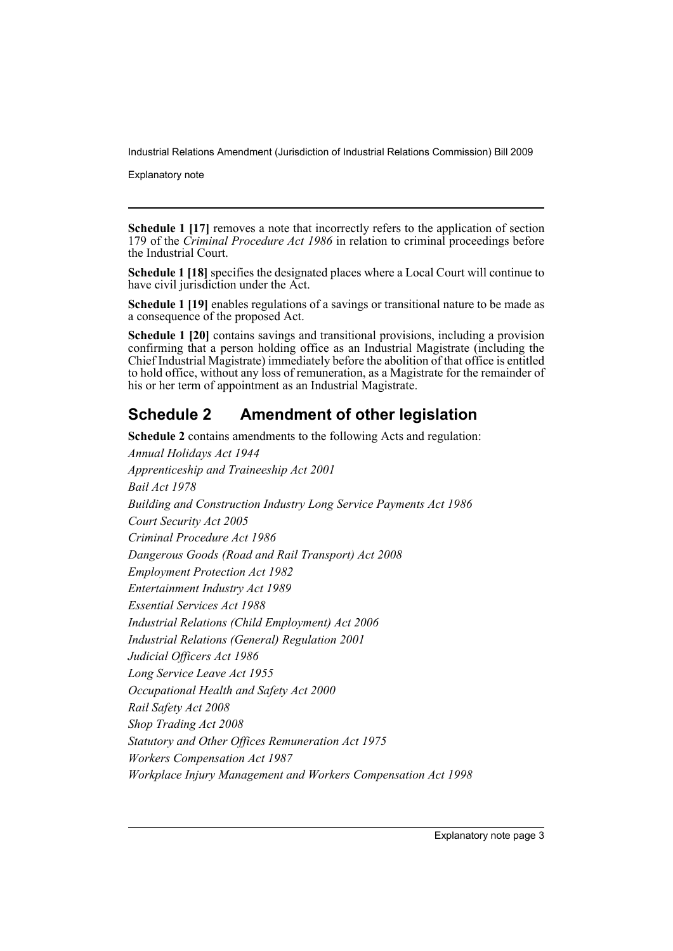Explanatory note

**Schedule 1 [17]** removes a note that incorrectly refers to the application of section 179 of the *Criminal Procedure Act 1986* in relation to criminal proceedings before the Industrial Court.

**Schedule 1 [18]** specifies the designated places where a Local Court will continue to have civil jurisdiction under the Act.

**Schedule 1 [19]** enables regulations of a savings or transitional nature to be made as a consequence of the proposed Act.

**Schedule 1 [20]** contains savings and transitional provisions, including a provision confirming that a person holding office as an Industrial Magistrate (including the Chief Industrial Magistrate) immediately before the abolition of that office is entitled to hold office, without any loss of remuneration, as a Magistrate for the remainder of his or her term of appointment as an Industrial Magistrate.

### **Schedule 2 Amendment of other legislation**

**Schedule 2** contains amendments to the following Acts and regulation:

*Annual Holidays Act 1944 Apprenticeship and Traineeship Act 2001 Bail Act 1978 Building and Construction Industry Long Service Payments Act 1986 Court Security Act 2005 Criminal Procedure Act 1986 Dangerous Goods (Road and Rail Transport) Act 2008 Employment Protection Act 1982 Entertainment Industry Act 1989 Essential Services Act 1988 Industrial Relations (Child Employment) Act 2006 Industrial Relations (General) Regulation 2001 Judicial Officers Act 1986 Long Service Leave Act 1955 Occupational Health and Safety Act 2000 Rail Safety Act 2008 Shop Trading Act 2008 Statutory and Other Offices Remuneration Act 1975 Workers Compensation Act 1987 Workplace Injury Management and Workers Compensation Act 1998*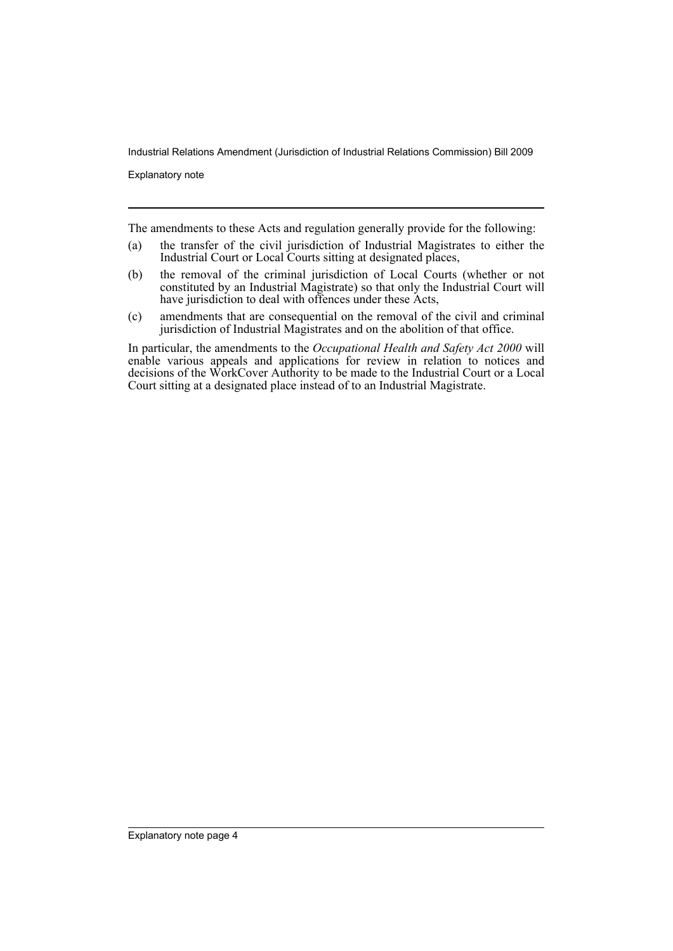Explanatory note

The amendments to these Acts and regulation generally provide for the following:

- (a) the transfer of the civil jurisdiction of Industrial Magistrates to either the Industrial Court or Local Courts sitting at designated places,
- (b) the removal of the criminal jurisdiction of Local Courts (whether or not constituted by an Industrial Magistrate) so that only the Industrial Court will have jurisdiction to deal with offences under these Acts,
- (c) amendments that are consequential on the removal of the civil and criminal jurisdiction of Industrial Magistrates and on the abolition of that office.

In particular, the amendments to the *Occupational Health and Safety Act 2000* will enable various appeals and applications for review in relation to notices and decisions of the WorkCover Authority to be made to the Industrial Court or a Local Court sitting at a designated place instead of to an Industrial Magistrate.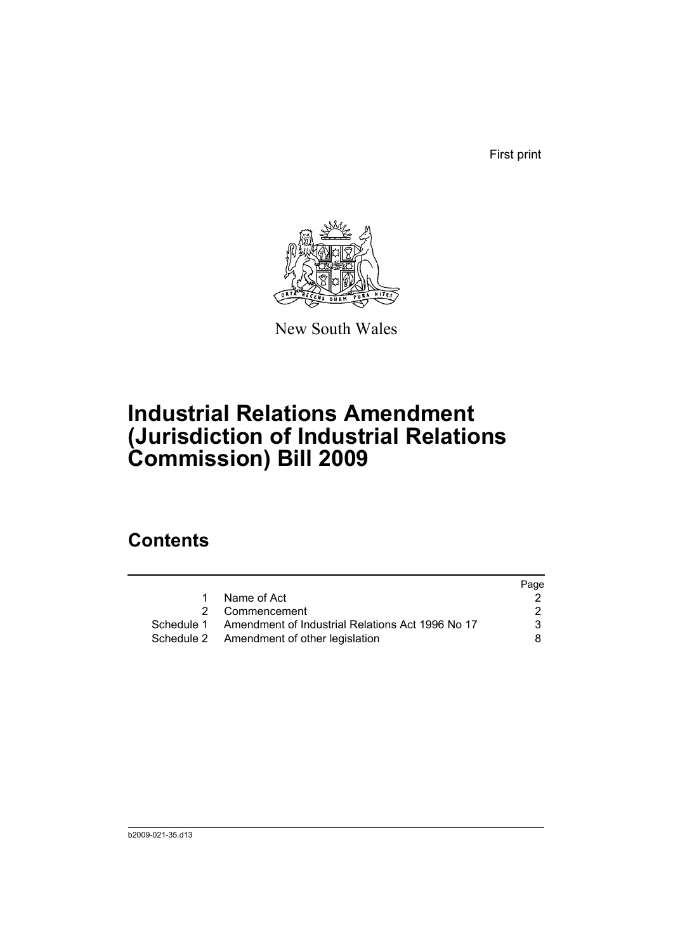First print



New South Wales

# **Industrial Relations Amendment (Jurisdiction of Industrial Relations Commission) Bill 2009**

### **Contents**

|   |                                                             | Page |
|---|-------------------------------------------------------------|------|
| 1 | Name of Act                                                 |      |
|   | 2 Commencement                                              |      |
|   | Schedule 1 Amendment of Industrial Relations Act 1996 No 17 | 3    |
|   | Schedule 2 Amendment of other legislation                   | 8    |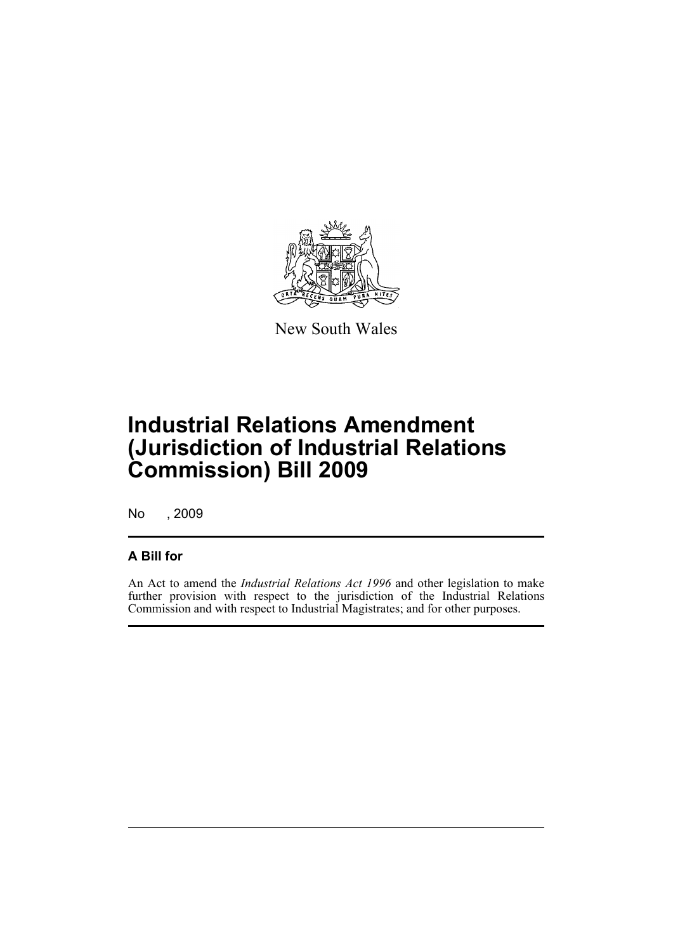

New South Wales

## **Industrial Relations Amendment (Jurisdiction of Industrial Relations Commission) Bill 2009**

No , 2009

#### **A Bill for**

An Act to amend the *Industrial Relations Act 1996* and other legislation to make further provision with respect to the jurisdiction of the Industrial Relations Commission and with respect to Industrial Magistrates; and for other purposes.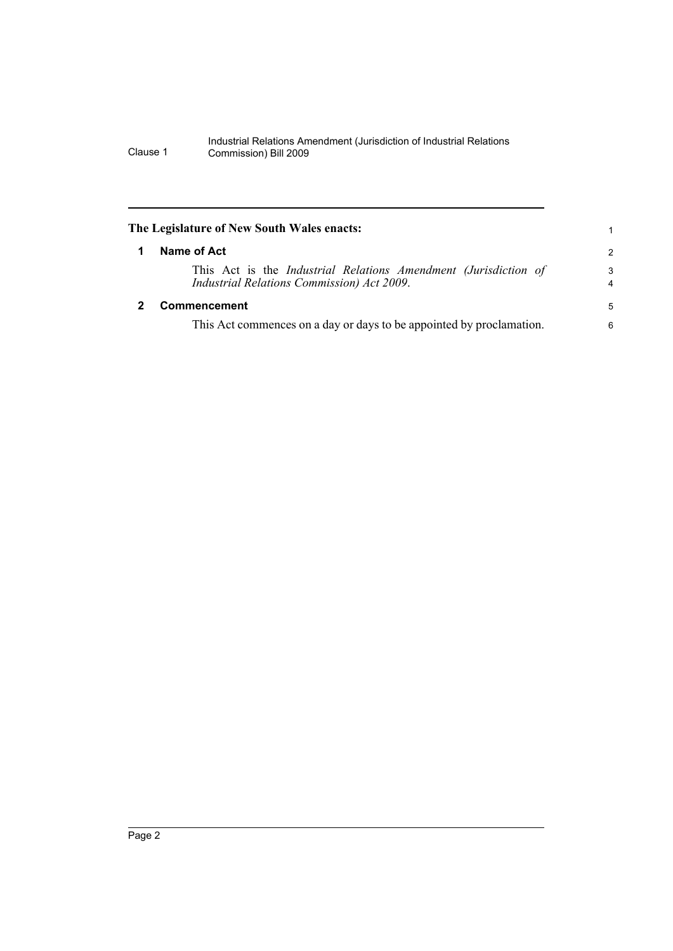<span id="page-7-1"></span><span id="page-7-0"></span>

|   | The Legislature of New South Wales enacts:                                                                    |                     |
|---|---------------------------------------------------------------------------------------------------------------|---------------------|
| 1 | Name of Act                                                                                                   | 2                   |
|   | This Act is the Industrial Relations Amendment (Jurisdiction of<br>Industrial Relations Commission) Act 2009. | 3<br>$\overline{4}$ |
|   | <b>Commencement</b>                                                                                           | 5                   |
|   | This Act commences on a day or days to be appointed by proclamation.                                          | 6                   |
|   |                                                                                                               |                     |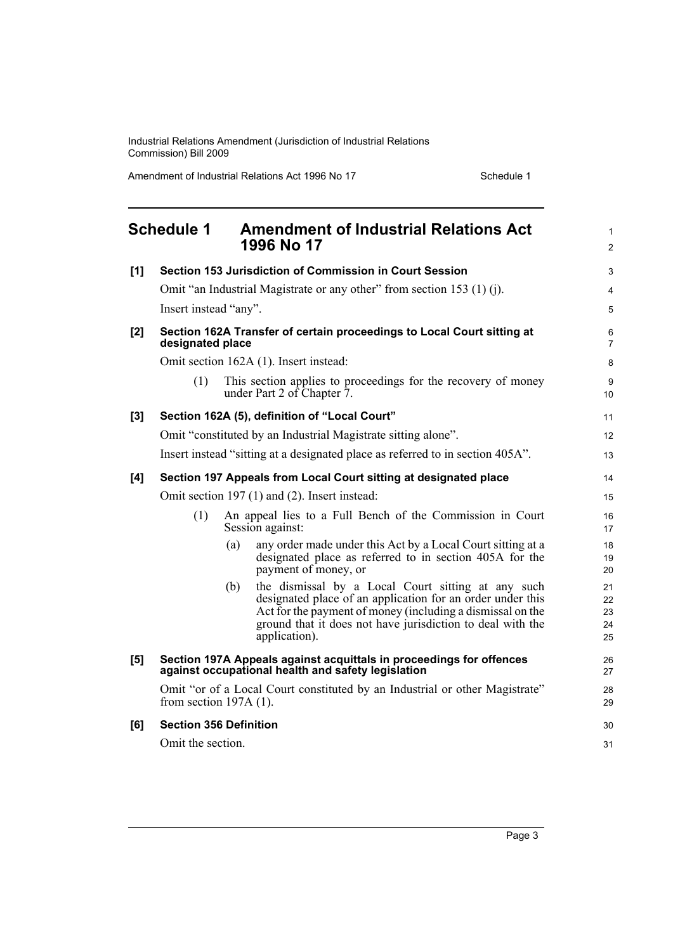Amendment of Industrial Relations Act 1996 No 17 Schedule 1

<span id="page-8-0"></span>

|     | <b>Schedule 1</b>             |     | <b>Amendment of Industrial Relations Act</b><br>1996 No 17                                                                                                                                                                                                    | $\mathbf{1}$<br>2          |
|-----|-------------------------------|-----|---------------------------------------------------------------------------------------------------------------------------------------------------------------------------------------------------------------------------------------------------------------|----------------------------|
| [1] |                               |     | Section 153 Jurisdiction of Commission in Court Session                                                                                                                                                                                                       | $\mathsf 3$                |
|     |                               |     | Omit "an Industrial Magistrate or any other" from section 153 (1) (j).                                                                                                                                                                                        | $\overline{4}$             |
|     | Insert instead "any".         |     |                                                                                                                                                                                                                                                               | 5                          |
| [2] | designated place              |     | Section 162A Transfer of certain proceedings to Local Court sitting at                                                                                                                                                                                        | 6<br>7                     |
|     |                               |     | Omit section 162A (1). Insert instead:                                                                                                                                                                                                                        | 8                          |
|     | (1)                           |     | This section applies to proceedings for the recovery of money<br>under Part 2 of Chapter 7.                                                                                                                                                                   | 9<br>10                    |
| [3] |                               |     | Section 162A (5), definition of "Local Court"                                                                                                                                                                                                                 | 11                         |
|     |                               |     | Omit "constituted by an Industrial Magistrate sitting alone".                                                                                                                                                                                                 | 12                         |
|     |                               |     | Insert instead "sitting at a designated place as referred to in section 405A".                                                                                                                                                                                | 13                         |
| [4] |                               |     | Section 197 Appeals from Local Court sitting at designated place                                                                                                                                                                                              | 14                         |
|     |                               |     | Omit section 197 (1) and (2). Insert instead:                                                                                                                                                                                                                 | 15                         |
|     | (1)                           |     | An appeal lies to a Full Bench of the Commission in Court<br>Session against:                                                                                                                                                                                 | 16<br>17                   |
|     |                               | (a) | any order made under this Act by a Local Court sitting at a<br>designated place as referred to in section 405A for the<br>payment of money, or                                                                                                                | 18<br>19<br>20             |
|     |                               | (b) | the dismissal by a Local Court sitting at any such<br>designated place of an application for an order under this<br>Act for the payment of money (including a dismissal on the<br>ground that it does not have jurisdiction to deal with the<br>application). | 21<br>22<br>23<br>24<br>25 |
| [5] |                               |     | Section 197A Appeals against acquittals in proceedings for offences<br>against occupational health and safety legislation                                                                                                                                     | 26<br>27                   |
|     | from section $197A(1)$ .      |     | Omit "or of a Local Court constituted by an Industrial or other Magistrate"                                                                                                                                                                                   | 28<br>29                   |
| [6] | <b>Section 356 Definition</b> |     |                                                                                                                                                                                                                                                               | 30                         |
|     | Omit the section.             |     |                                                                                                                                                                                                                                                               | 31                         |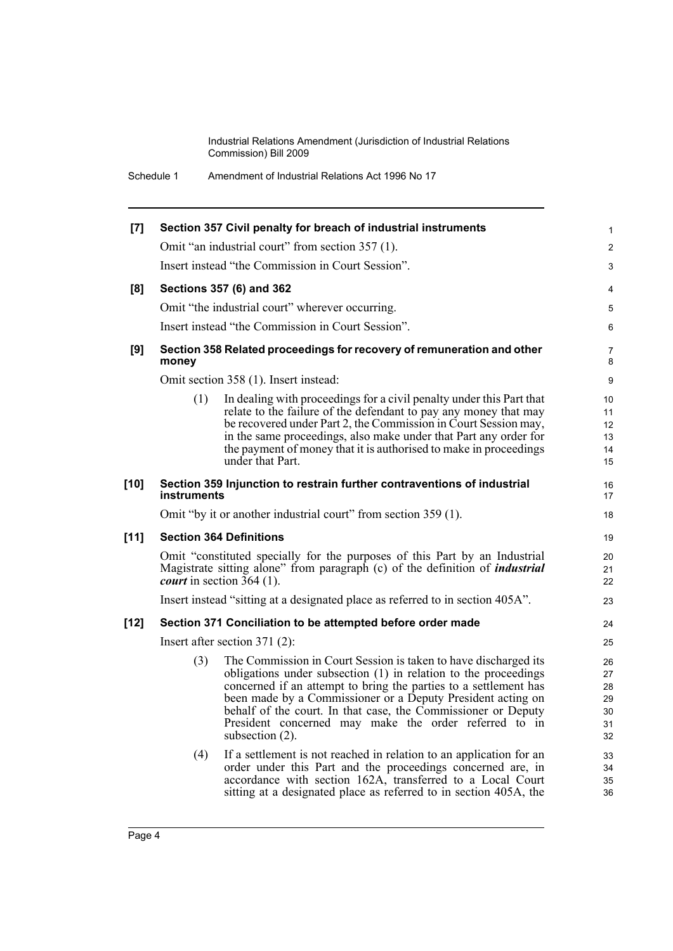Schedule 1 Amendment of Industrial Relations Act 1996 No 17

| $[7]$  |             | Section 357 Civil penalty for breach of industrial instruments                                                                                                                                                                                                                                                                                                                                                     | $\mathbf{1}$                           |
|--------|-------------|--------------------------------------------------------------------------------------------------------------------------------------------------------------------------------------------------------------------------------------------------------------------------------------------------------------------------------------------------------------------------------------------------------------------|----------------------------------------|
|        |             | Omit "an industrial court" from section 357 (1).                                                                                                                                                                                                                                                                                                                                                                   | $\overline{2}$                         |
|        |             | Insert instead "the Commission in Court Session".                                                                                                                                                                                                                                                                                                                                                                  | 3                                      |
| [8]    |             | Sections 357 (6) and 362                                                                                                                                                                                                                                                                                                                                                                                           | 4                                      |
|        |             | Omit "the industrial court" wherever occurring.                                                                                                                                                                                                                                                                                                                                                                    | 5                                      |
|        |             | Insert instead "the Commission in Court Session".                                                                                                                                                                                                                                                                                                                                                                  | 6                                      |
| [9]    | money       | Section 358 Related proceedings for recovery of remuneration and other                                                                                                                                                                                                                                                                                                                                             | $\overline{7}$<br>8                    |
|        |             | Omit section 358 (1). Insert instead:                                                                                                                                                                                                                                                                                                                                                                              | 9                                      |
|        | (1)         | In dealing with proceedings for a civil penalty under this Part that<br>relate to the failure of the defendant to pay any money that may<br>be recovered under Part 2, the Commission in Court Session may,<br>in the same proceedings, also make under that Part any order for<br>the payment of money that it is authorised to make in proceedings<br>under that Part.                                           | 10<br>11<br>12<br>13<br>14<br>15       |
| $[10]$ | instruments | Section 359 Injunction to restrain further contraventions of industrial                                                                                                                                                                                                                                                                                                                                            | 16<br>17                               |
|        |             | Omit "by it or another industrial court" from section 359 (1).                                                                                                                                                                                                                                                                                                                                                     | 18                                     |
| $[11]$ |             | <b>Section 364 Definitions</b>                                                                                                                                                                                                                                                                                                                                                                                     | 19                                     |
|        |             | Omit "constituted specially for the purposes of this Part by an Industrial<br>Magistrate sitting alone" from paragraph (c) of the definition of <i>industrial</i><br><i>court</i> in section $\overline{3}64$ (1).                                                                                                                                                                                                 | 20<br>21<br>22                         |
|        |             | Insert instead "sitting at a designated place as referred to in section 405A".                                                                                                                                                                                                                                                                                                                                     | 23                                     |
| $[12]$ |             | Section 371 Conciliation to be attempted before order made                                                                                                                                                                                                                                                                                                                                                         | 24                                     |
|        |             | Insert after section $371(2)$ :                                                                                                                                                                                                                                                                                                                                                                                    | 25                                     |
|        | (3)         | The Commission in Court Session is taken to have discharged its<br>obligations under subsection (1) in relation to the proceedings<br>concerned if an attempt to bring the parties to a settlement has<br>been made by a Commissioner or a Deputy President acting on<br>behalf of the court. In that case, the Commissioner or Deputy<br>President concerned may make the order referred to in<br>subsection (2). | 26<br>27<br>28<br>29<br>30<br>31<br>32 |
|        | (4)         | If a settlement is not reached in relation to an application for an<br>order under this Part and the proceedings concerned are, in<br>accordance with section 162A, transferred to a Local Court<br>sitting at a designated place as referred to in section 405A, the                                                                                                                                              | 33<br>34<br>35<br>36                   |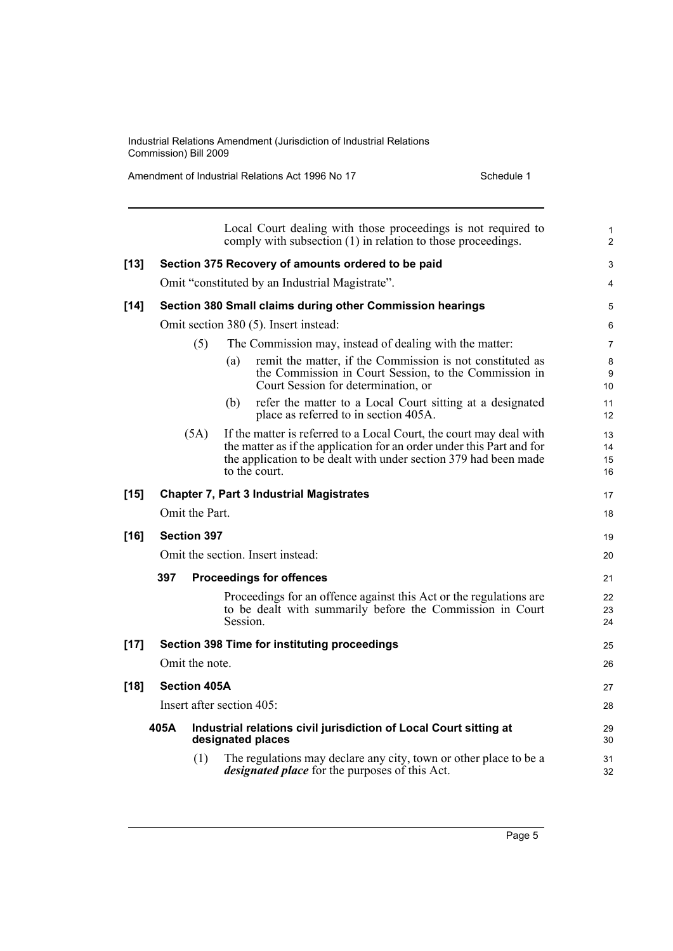Amendment of Industrial Relations Act 1996 No 17 Schedule 1

|        |      |                     | Local Court dealing with those proceedings is not required to<br>comply with subsection (1) in relation to those proceedings.                                                                                                     | $\mathbf{1}$<br>2    |
|--------|------|---------------------|-----------------------------------------------------------------------------------------------------------------------------------------------------------------------------------------------------------------------------------|----------------------|
| $[13]$ |      |                     | Section 375 Recovery of amounts ordered to be paid                                                                                                                                                                                | 3                    |
|        |      |                     | Omit "constituted by an Industrial Magistrate".                                                                                                                                                                                   | 4                    |
| $[14]$ |      |                     | Section 380 Small claims during other Commission hearings                                                                                                                                                                         | 5                    |
|        |      |                     | Omit section 380 (5). Insert instead:                                                                                                                                                                                             | 6                    |
|        |      | (5)                 | The Commission may, instead of dealing with the matter:                                                                                                                                                                           | $\overline{7}$       |
|        |      |                     | remit the matter, if the Commission is not constituted as<br>(a)<br>the Commission in Court Session, to the Commission in<br>Court Session for determination, or                                                                  | 8<br>9<br>10         |
|        |      |                     | refer the matter to a Local Court sitting at a designated<br>(b)<br>place as referred to in section 405A.                                                                                                                         | 11<br>12             |
|        |      | (5A)                | If the matter is referred to a Local Court, the court may deal with<br>the matter as if the application for an order under this Part and for<br>the application to be dealt with under section 379 had been made<br>to the court. | 13<br>14<br>15<br>16 |
| $[15]$ |      |                     | <b>Chapter 7, Part 3 Industrial Magistrates</b>                                                                                                                                                                                   | 17                   |
|        |      | Omit the Part.      |                                                                                                                                                                                                                                   | 18                   |
| $[16]$ |      | <b>Section 397</b>  |                                                                                                                                                                                                                                   | 19                   |
|        |      |                     | Omit the section. Insert instead:                                                                                                                                                                                                 | 20                   |
|        | 397  |                     | <b>Proceedings for offences</b>                                                                                                                                                                                                   | 21                   |
|        |      |                     | Proceedings for an offence against this Act or the regulations are<br>to be dealt with summarily before the Commission in Court<br>Session.                                                                                       | 22<br>23<br>24       |
| $[17]$ |      |                     | Section 398 Time for instituting proceedings                                                                                                                                                                                      | 25                   |
|        |      | Omit the note.      |                                                                                                                                                                                                                                   | 26                   |
| $[18]$ |      | <b>Section 405A</b> |                                                                                                                                                                                                                                   | 27                   |
|        |      |                     | Insert after section 405:                                                                                                                                                                                                         | 28                   |
|        | 405A |                     | Industrial relations civil jurisdiction of Local Court sitting at<br>designated places                                                                                                                                            | 29<br>30             |
|        |      | (1)                 | The regulations may declare any city, town or other place to be a<br><i>designated place</i> for the purposes of this Act.                                                                                                        | 31<br>32             |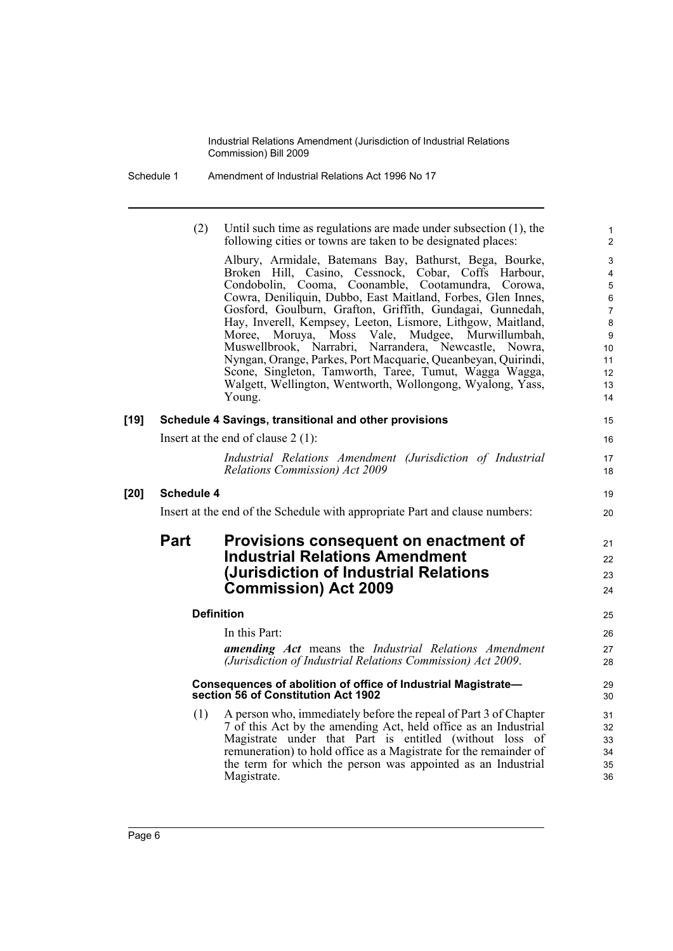| Schedule 1 | Amendment of Industrial Relations Act 1996 No 17 |
|------------|--------------------------------------------------|
|------------|--------------------------------------------------|

|        | (2)               | Until such time as regulations are made under subsection (1), the<br>following cities or towns are taken to be designated places:                                                                                                                                                                                                                  | $\mathbf{1}$<br>$\overline{2}$   |
|--------|-------------------|----------------------------------------------------------------------------------------------------------------------------------------------------------------------------------------------------------------------------------------------------------------------------------------------------------------------------------------------------|----------------------------------|
|        |                   | Albury, Armidale, Batemans Bay, Bathurst, Bega, Bourke,                                                                                                                                                                                                                                                                                            | 3                                |
|        |                   | Broken Hill, Casino, Cessnock, Cobar, Coffs Harbour, Condobolin, Cooma, Coonamble, Cootamundra, Corowa,                                                                                                                                                                                                                                            | $\overline{4}$                   |
|        |                   | Cowra, Deniliquin, Dubbo, East Maitland, Forbes, Glen Innes,                                                                                                                                                                                                                                                                                       | $\overline{5}$<br>6              |
|        |                   | Gosford, Goulburn, Grafton, Griffith, Gundagai, Gunnedah,                                                                                                                                                                                                                                                                                          | $\boldsymbol{7}$                 |
|        |                   | Hay, Inverell, Kempsey, Leeton, Lismore, Lithgow, Maitland,                                                                                                                                                                                                                                                                                        | 8                                |
|        |                   | Moss Vale,<br>Mudgee, Murwillumbah,<br>Moree, Moruya,                                                                                                                                                                                                                                                                                              | 9                                |
|        |                   | Muswellbrook, Narrabri, Narrandera, Newcastle, Nowra,<br>Nyngan, Orange, Parkes, Port Macquarie, Queanbeyan, Quirindi,                                                                                                                                                                                                                             | 10 <sup>1</sup><br>11            |
|        |                   | Scone, Singleton, Tamworth, Taree, Tumut, Wagga Wagga,                                                                                                                                                                                                                                                                                             | 12                               |
|        |                   | Walgett, Wellington, Wentworth, Wollongong, Wyalong, Yass,                                                                                                                                                                                                                                                                                         | 13                               |
|        |                   | Young.                                                                                                                                                                                                                                                                                                                                             | 14                               |
| $[19]$ |                   | Schedule 4 Savings, transitional and other provisions                                                                                                                                                                                                                                                                                              | 15                               |
|        |                   | Insert at the end of clause $2(1)$ :                                                                                                                                                                                                                                                                                                               | 16                               |
|        |                   | Industrial Relations Amendment (Jurisdiction of Industrial                                                                                                                                                                                                                                                                                         | 17                               |
|        |                   | <b>Relations Commission) Act 2009</b>                                                                                                                                                                                                                                                                                                              | 18                               |
| [20]   | <b>Schedule 4</b> |                                                                                                                                                                                                                                                                                                                                                    | 19                               |
|        |                   | Insert at the end of the Schedule with appropriate Part and clause numbers:                                                                                                                                                                                                                                                                        | 20                               |
|        | <b>Part</b>       | Provisions consequent on enactment of                                                                                                                                                                                                                                                                                                              | 21                               |
|        |                   | <b>Industrial Relations Amendment</b>                                                                                                                                                                                                                                                                                                              | 22                               |
|        |                   | (Jurisdiction of Industrial Relations                                                                                                                                                                                                                                                                                                              | 23                               |
|        |                   | <b>Commission) Act 2009</b>                                                                                                                                                                                                                                                                                                                        | 24                               |
|        |                   |                                                                                                                                                                                                                                                                                                                                                    |                                  |
|        |                   | <b>Definition</b>                                                                                                                                                                                                                                                                                                                                  | 25                               |
|        |                   | In this Part:                                                                                                                                                                                                                                                                                                                                      | 26                               |
|        |                   | <b>amending Act</b> means the Industrial Relations Amendment                                                                                                                                                                                                                                                                                       | 27                               |
|        |                   | (Jurisdiction of Industrial Relations Commission) Act 2009.                                                                                                                                                                                                                                                                                        | 28                               |
|        |                   | Consequences of abolition of office of Industrial Magistrate-<br>section 56 of Constitution Act 1902                                                                                                                                                                                                                                               | 29<br>30                         |
|        | (1)               | A person who, immediately before the repeal of Part 3 of Chapter<br>7 of this Act by the amending Act, held office as an Industrial<br>Magistrate under that Part is entitled (without loss of<br>remuneration) to hold office as a Magistrate for the remainder of<br>the term for which the person was appointed as an Industrial<br>Magistrate. | 31<br>32<br>33<br>34<br>35<br>36 |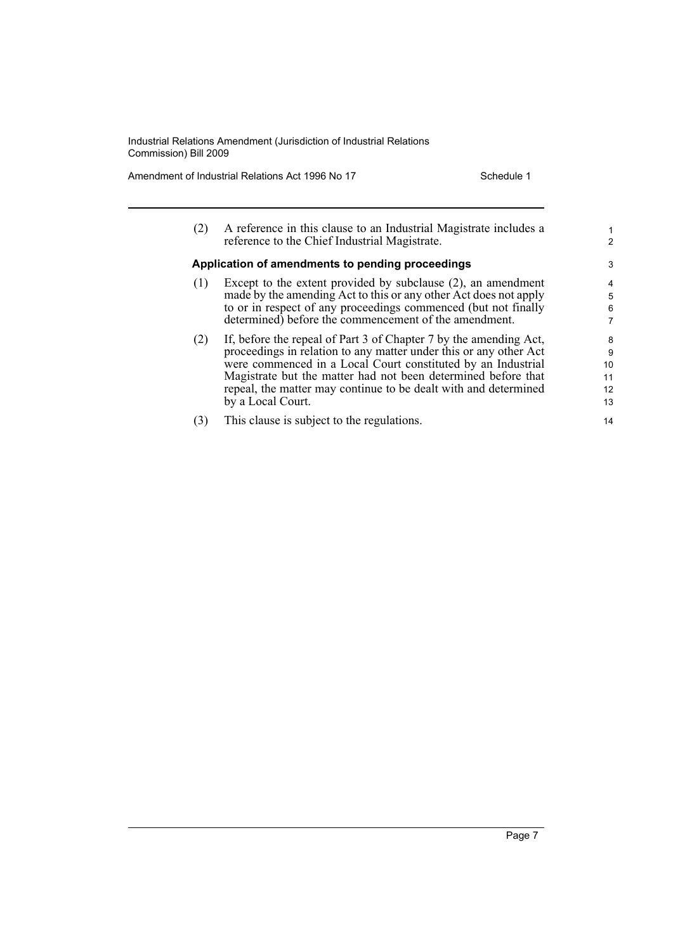Amendment of Industrial Relations Act 1996 No 17 Schedule 1

| (2) | A reference in this clause to an Industrial Magistrate includes a<br>reference to the Chief Industrial Magistrate. | 1<br>2 |
|-----|--------------------------------------------------------------------------------------------------------------------|--------|
|     | Application of amendments to pending proceedings                                                                   | 3      |
| (1) | Except to the extent provided by subclause $(2)$ , an amendment                                                    | 4      |
|     | made by the amending Act to this or any other Act does not apply                                                   | 5      |
|     | to or in respect of any proceedings commenced (but not finally                                                     | 6      |
|     | determined) before the commencement of the amendment.                                                              | 7      |
| (2) | If, before the repeal of Part 3 of Chapter 7 by the amending Act,                                                  | 8      |
|     | proceedings in relation to any matter under this or any other Act                                                  | 9      |
|     | were commenced in a Local Court constituted by an Industrial                                                       | 10     |
|     | Magistrate but the matter had not been determined before that                                                      | 11     |
|     | repeal, the matter may continue to be dealt with and determined                                                    | 12     |
|     | by a Local Court.                                                                                                  | 13     |
| (3) | This clause is subject to the regulations.                                                                         | 14     |
|     |                                                                                                                    |        |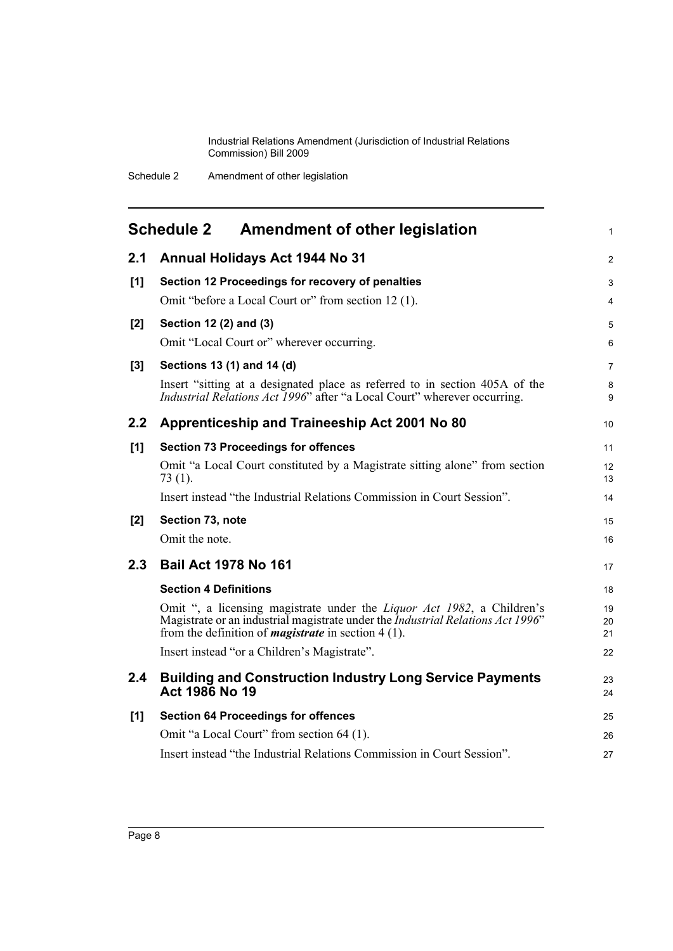<span id="page-13-0"></span>

|               | <b>Schedule 2</b><br><b>Amendment of other legislation</b>                                                                                                                                                                                | $\mathbf{1}$   |
|---------------|-------------------------------------------------------------------------------------------------------------------------------------------------------------------------------------------------------------------------------------------|----------------|
| 2.1           | Annual Holidays Act 1944 No 31                                                                                                                                                                                                            | $\overline{2}$ |
| [1]           | Section 12 Proceedings for recovery of penalties                                                                                                                                                                                          | 3              |
|               | Omit "before a Local Court or" from section 12 (1).                                                                                                                                                                                       | 4              |
| [2]           | Section 12 (2) and (3)                                                                                                                                                                                                                    | 5              |
|               | Omit "Local Court or" wherever occurring.                                                                                                                                                                                                 | 6              |
| [3]           | Sections 13 (1) and 14 (d)                                                                                                                                                                                                                | 7              |
|               | Insert "sitting at a designated place as referred to in section 405A of the<br>Industrial Relations Act 1996" after "a Local Court" wherever occurring.                                                                                   | 8<br>9         |
| 2.2           | Apprenticeship and Traineeship Act 2001 No 80                                                                                                                                                                                             | 10             |
| [1]           | <b>Section 73 Proceedings for offences</b>                                                                                                                                                                                                | 11             |
|               | Omit "a Local Court constituted by a Magistrate sitting alone" from section<br>73 (1).                                                                                                                                                    | 12<br>13       |
|               | Insert instead "the Industrial Relations Commission in Court Session".                                                                                                                                                                    | 14             |
| [2]           | Section 73, note                                                                                                                                                                                                                          | 15             |
|               | Omit the note.                                                                                                                                                                                                                            | 16             |
| 2.3           | <b>Bail Act 1978 No 161</b>                                                                                                                                                                                                               | 17             |
|               | <b>Section 4 Definitions</b>                                                                                                                                                                                                              | 18             |
|               | Omit ", a licensing magistrate under the <i>Liquor Act 1982</i> , a Children's<br>Magistrate or an industrial magistrate under the <i>Industrial Relations Act 1996</i> "<br>from the definition of <i>magistrate</i> in section $4(1)$ . | 19<br>20<br>21 |
|               | Insert instead "or a Children's Magistrate".                                                                                                                                                                                              | 22             |
| $2.4^{\circ}$ | <b>Building and Construction Industry Long Service Payments</b><br>Act 1986 No 19                                                                                                                                                         | 23<br>24       |
| [1]           | <b>Section 64 Proceedings for offences</b>                                                                                                                                                                                                | 25             |
|               | Omit "a Local Court" from section 64 (1).                                                                                                                                                                                                 | 26             |
|               | Insert instead "the Industrial Relations Commission in Court Session".                                                                                                                                                                    | 27             |
|               |                                                                                                                                                                                                                                           |                |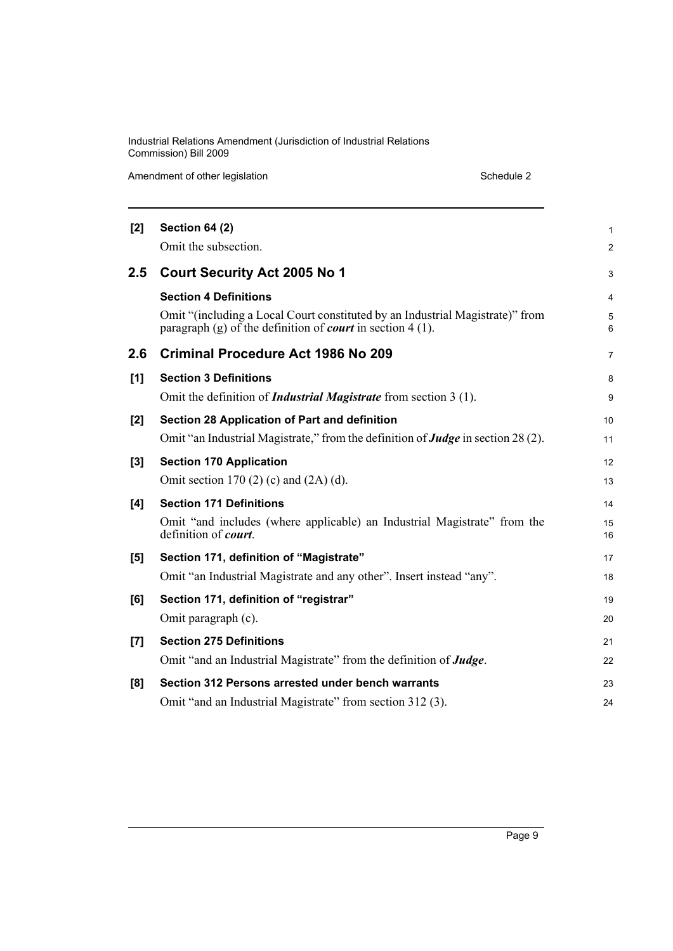Amendment of other legislation Schedule 2

| [2]   | <b>Section 64 (2)</b>                                                                                                                              | 1              |
|-------|----------------------------------------------------------------------------------------------------------------------------------------------------|----------------|
|       | Omit the subsection.                                                                                                                               | $\overline{c}$ |
| 2.5   | <b>Court Security Act 2005 No 1</b>                                                                                                                | 3              |
|       | <b>Section 4 Definitions</b>                                                                                                                       | 4              |
|       | Omit "(including a Local Court constituted by an Industrial Magistrate)" from<br>paragraph (g) of the definition of <i>court</i> in section 4 (1). | 5<br>6         |
| 2.6   | Criminal Procedure Act 1986 No 209                                                                                                                 | 7              |
| [1]   | <b>Section 3 Definitions</b>                                                                                                                       | 8              |
|       | Omit the definition of <i>Industrial Magistrate</i> from section 3 (1).                                                                            | 9              |
| [2]   | Section 28 Application of Part and definition                                                                                                      | 10             |
|       | Omit "an Industrial Magistrate," from the definition of <b>Judge</b> in section 28 (2).                                                            | 11             |
| $[3]$ | <b>Section 170 Application</b>                                                                                                                     | 12             |
|       | Omit section 170 (2) (c) and $(2A)$ (d).                                                                                                           | 13             |
| [4]   | <b>Section 171 Definitions</b>                                                                                                                     | 14             |
|       | Omit "and includes (where applicable) an Industrial Magistrate" from the<br>definition of <i>court</i> .                                           | 15<br>16       |
| [5]   | Section 171, definition of "Magistrate"                                                                                                            | 17             |
|       | Omit "an Industrial Magistrate and any other". Insert instead "any".                                                                               | 18             |
| [6]   | Section 171, definition of "registrar"                                                                                                             | 19             |
|       | Omit paragraph (c).                                                                                                                                | 20             |
| [7]   | <b>Section 275 Definitions</b>                                                                                                                     | 21             |
|       | Omit "and an Industrial Magistrate" from the definition of <b>Judge</b> .                                                                          | 22             |
| [8]   | Section 312 Persons arrested under bench warrants                                                                                                  | 23             |
|       | Omit "and an Industrial Magistrate" from section 312 (3).                                                                                          | 24             |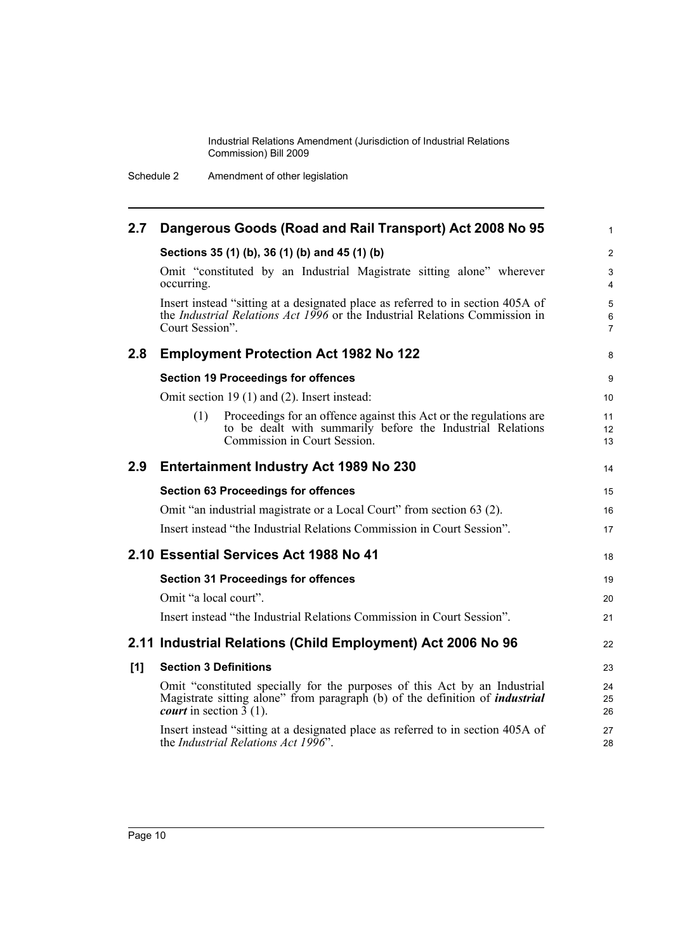Schedule 2 Amendment of other legislation

| 2.7 | Dangerous Goods (Road and Rail Transport) Act 2008 No 95                                                                                                                                                        | $\mathbf{1}$                            |
|-----|-----------------------------------------------------------------------------------------------------------------------------------------------------------------------------------------------------------------|-----------------------------------------|
|     | Sections 35 (1) (b), 36 (1) (b) and 45 (1) (b)                                                                                                                                                                  | 2                                       |
|     | Omit "constituted by an Industrial Magistrate sitting alone" wherever<br>occurring.                                                                                                                             | 3<br>4                                  |
|     | Insert instead "sitting at a designated place as referred to in section 405A of<br>the <i>Industrial Relations Act 1996</i> or the Industrial Relations Commission in<br>Court Session".                        | $\sqrt{5}$<br>$\,6\,$<br>$\overline{7}$ |
| 2.8 | <b>Employment Protection Act 1982 No 122</b>                                                                                                                                                                    | 8                                       |
|     | <b>Section 19 Proceedings for offences</b>                                                                                                                                                                      | 9                                       |
|     | Omit section 19 (1) and (2). Insert instead:                                                                                                                                                                    | 10                                      |
|     | Proceedings for an offence against this Act or the regulations are<br>(1)<br>to be dealt with summarily before the Industrial Relations<br>Commission in Court Session.                                         | 11<br>12<br>13                          |
| 2.9 | <b>Entertainment Industry Act 1989 No 230</b>                                                                                                                                                                   | 14                                      |
|     | <b>Section 63 Proceedings for offences</b>                                                                                                                                                                      | 15                                      |
|     | Omit "an industrial magistrate or a Local Court" from section 63 (2).                                                                                                                                           | 16                                      |
|     | Insert instead "the Industrial Relations Commission in Court Session".                                                                                                                                          | 17                                      |
|     | 2.10 Essential Services Act 1988 No 41                                                                                                                                                                          | 18                                      |
|     | <b>Section 31 Proceedings for offences</b>                                                                                                                                                                      | 19                                      |
|     | Omit "a local court".                                                                                                                                                                                           | 20                                      |
|     | Insert instead "the Industrial Relations Commission in Court Session".                                                                                                                                          | 21                                      |
|     | 2.11 Industrial Relations (Child Employment) Act 2006 No 96                                                                                                                                                     | 22                                      |
| [1] | <b>Section 3 Definitions</b>                                                                                                                                                                                    | 23                                      |
|     | Omit "constituted specially for the purposes of this Act by an Industrial<br>Magistrate sitting alone" from paragraph (b) of the definition of <i>industrial</i><br><i>court</i> in section $\overline{3}$ (1). | 24<br>25<br>26                          |
|     | Insert instead "sitting at a designated place as referred to in section 405A of<br>the <i>Industrial Relations Act 1996</i> ".                                                                                  | 27<br>28                                |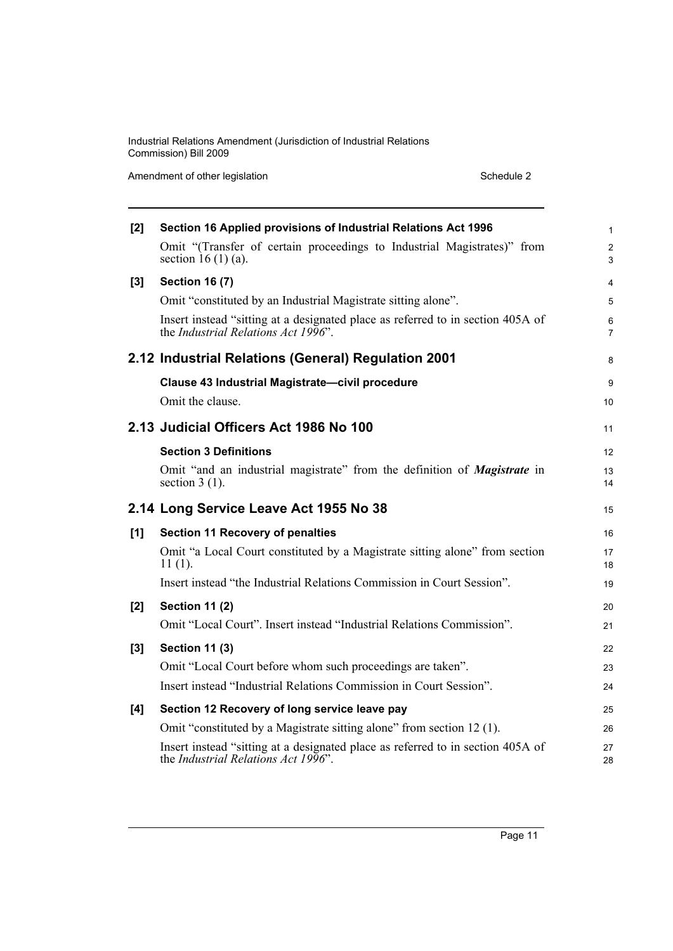Amendment of other legislation Schedule 2

| [2] | Section 16 Applied provisions of Industrial Relations Act 1996                                                         | $\mathbf{1}$        |
|-----|------------------------------------------------------------------------------------------------------------------------|---------------------|
|     | Omit "(Transfer of certain proceedings to Industrial Magistrates)" from<br>section 16 $(1)$ (a).                       | $\overline{2}$<br>3 |
| [3] | <b>Section 16 (7)</b>                                                                                                  | 4                   |
|     | Omit "constituted by an Industrial Magistrate sitting alone".                                                          | 5                   |
|     | Insert instead "sitting at a designated place as referred to in section 405A of<br>the Industrial Relations Act 1996". | 6<br>$\overline{7}$ |
|     | 2.12 Industrial Relations (General) Regulation 2001                                                                    | 8                   |
|     | Clause 43 Industrial Magistrate-civil procedure                                                                        | 9                   |
|     | Omit the clause.                                                                                                       | 10                  |
|     | 2.13 Judicial Officers Act 1986 No 100                                                                                 | 11                  |
|     | <b>Section 3 Definitions</b>                                                                                           | 12                  |
|     | Omit "and an industrial magistrate" from the definition of <i>Magistrate</i> in<br>section $3(1)$ .                    | 13<br>14            |
|     |                                                                                                                        |                     |
|     | 2.14 Long Service Leave Act 1955 No 38                                                                                 | 15                  |
| [1] | <b>Section 11 Recovery of penalties</b>                                                                                | 16                  |
|     | Omit "a Local Court constituted by a Magistrate sitting alone" from section<br>$11(1)$ .                               | 17<br>18            |
|     | Insert instead "the Industrial Relations Commission in Court Session".                                                 | 19                  |
| [2] | <b>Section 11 (2)</b>                                                                                                  | 20                  |
|     | Omit "Local Court". Insert instead "Industrial Relations Commission".                                                  | 21                  |
| [3] | <b>Section 11 (3)</b>                                                                                                  | 22                  |
|     | Omit "Local Court before whom such proceedings are taken".                                                             | 23                  |
|     | Insert instead "Industrial Relations Commission in Court Session".                                                     | 24                  |
| [4] | Section 12 Recovery of long service leave pay                                                                          | 25                  |
|     | Omit "constituted by a Magistrate sitting alone" from section 12 (1).                                                  | 26                  |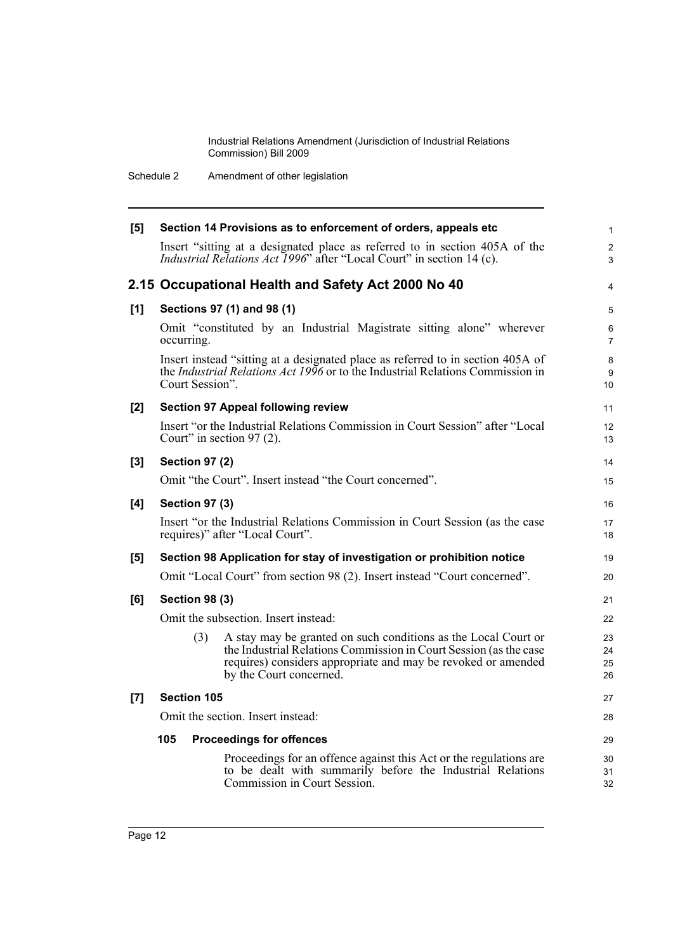Schedule 2 Amendment of other legislation

| [5]   | Section 14 Provisions as to enforcement of orders, appeals etc |                                                                                                                                                                                                                                 |                      |
|-------|----------------------------------------------------------------|---------------------------------------------------------------------------------------------------------------------------------------------------------------------------------------------------------------------------------|----------------------|
|       |                                                                | Insert "sitting at a designated place as referred to in section 405A of the<br>Industrial Relations Act 1996" after "Local Court" in section 14 (c).                                                                            | $\overline{c}$<br>3  |
|       |                                                                | 2.15 Occupational Health and Safety Act 2000 No 40                                                                                                                                                                              | $\overline{4}$       |
| [1]   |                                                                | Sections 97 (1) and 98 (1)                                                                                                                                                                                                      | 5                    |
|       | occurring.                                                     | Omit "constituted by an Industrial Magistrate sitting alone" wherever                                                                                                                                                           | 6<br>$\overline{7}$  |
|       | Court Session".                                                | Insert instead "sitting at a designated place as referred to in section 405A of<br>the <i>Industrial Relations Act 1996</i> or to the Industrial Relations Commission in                                                        | 8<br>9<br>10         |
| [2]   |                                                                | <b>Section 97 Appeal following review</b>                                                                                                                                                                                       | 11                   |
|       | Court" in section $97(2)$ .                                    | Insert "or the Industrial Relations Commission in Court Session" after "Local                                                                                                                                                   | 12<br>13             |
| $[3]$ | <b>Section 97 (2)</b>                                          |                                                                                                                                                                                                                                 | 14                   |
|       |                                                                | Omit "the Court". Insert instead "the Court concerned".                                                                                                                                                                         | 15                   |
| [4]   | <b>Section 97 (3)</b>                                          |                                                                                                                                                                                                                                 | 16                   |
|       |                                                                | Insert "or the Industrial Relations Commission in Court Session (as the case<br>requires)" after "Local Court".                                                                                                                 | 17<br>18             |
| [5]   |                                                                | Section 98 Application for stay of investigation or prohibition notice                                                                                                                                                          | 19                   |
|       |                                                                | Omit "Local Court" from section 98 (2). Insert instead "Court concerned".                                                                                                                                                       | 20                   |
| [6]   | <b>Section 98 (3)</b>                                          |                                                                                                                                                                                                                                 |                      |
|       |                                                                | Omit the subsection. Insert instead:                                                                                                                                                                                            | 22                   |
|       | (3)                                                            | A stay may be granted on such conditions as the Local Court or<br>the Industrial Relations Commission in Court Session (as the case<br>requires) considers appropriate and may be revoked or amended<br>by the Court concerned. | 23<br>24<br>25<br>26 |
| [7]   | <b>Section 105</b>                                             |                                                                                                                                                                                                                                 |                      |
|       |                                                                | Omit the section. Insert instead:                                                                                                                                                                                               | 28                   |
|       | 105                                                            | <b>Proceedings for offences</b>                                                                                                                                                                                                 | 29                   |
|       |                                                                | Proceedings for an offence against this Act or the regulations are<br>to be dealt with summarily before the Industrial Relations<br>Commission in Court Session.                                                                | 30<br>31<br>32       |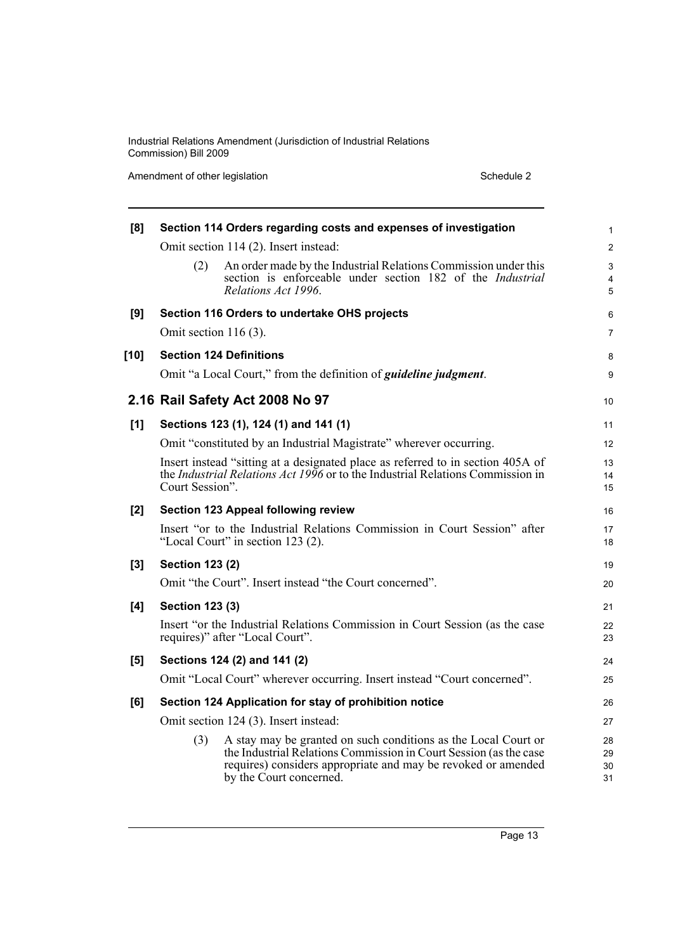Amendment of other legislation Schedule 2

| [8]    | Section 114 Orders regarding costs and expenses of investigation<br>Omit section 114 (2). Insert instead: |                                                                                                                                                                                                                                 |                      |
|--------|-----------------------------------------------------------------------------------------------------------|---------------------------------------------------------------------------------------------------------------------------------------------------------------------------------------------------------------------------------|----------------------|
|        |                                                                                                           |                                                                                                                                                                                                                                 |                      |
|        | (2)                                                                                                       | An order made by the Industrial Relations Commission under this<br>section is enforceable under section 182 of the Industrial                                                                                                   | $\mathfrak{S}$<br>4  |
|        |                                                                                                           | Relations Act 1996.                                                                                                                                                                                                             | 5                    |
| [9]    |                                                                                                           | Section 116 Orders to undertake OHS projects                                                                                                                                                                                    | 6                    |
|        | Omit section $116(3)$ .                                                                                   |                                                                                                                                                                                                                                 | $\overline{7}$       |
| $[10]$ |                                                                                                           | <b>Section 124 Definitions</b>                                                                                                                                                                                                  | 8                    |
|        |                                                                                                           | Omit "a Local Court," from the definition of <i>guideline judgment</i> .                                                                                                                                                        | 9                    |
|        |                                                                                                           | 2.16 Rail Safety Act 2008 No 97                                                                                                                                                                                                 | 10                   |
| [1]    |                                                                                                           | Sections 123 (1), 124 (1) and 141 (1)                                                                                                                                                                                           | 11                   |
|        |                                                                                                           | Omit "constituted by an Industrial Magistrate" wherever occurring.                                                                                                                                                              | 12                   |
|        | Court Session".                                                                                           | Insert instead "sitting at a designated place as referred to in section 405A of<br>the <i>Industrial Relations Act 1996</i> or to the Industrial Relations Commission in                                                        | 13<br>14<br>15       |
| $[2]$  |                                                                                                           | <b>Section 123 Appeal following review</b>                                                                                                                                                                                      | 16                   |
|        |                                                                                                           | Insert "or to the Industrial Relations Commission in Court Session" after<br>"Local Court" in section 123 (2).                                                                                                                  | 17<br>18             |
| [3]    | <b>Section 123 (2)</b>                                                                                    |                                                                                                                                                                                                                                 |                      |
|        |                                                                                                           | Omit "the Court". Insert instead "the Court concerned".                                                                                                                                                                         | 20                   |
| [4]    | <b>Section 123 (3)</b>                                                                                    |                                                                                                                                                                                                                                 |                      |
|        |                                                                                                           | Insert "or the Industrial Relations Commission in Court Session (as the case<br>requires)" after "Local Court".                                                                                                                 | 22<br>23             |
| [5]    | Sections 124 (2) and 141 (2)                                                                              |                                                                                                                                                                                                                                 |                      |
|        |                                                                                                           | Omit "Local Court" wherever occurring. Insert instead "Court concerned".                                                                                                                                                        | 25                   |
| [6]    | Section 124 Application for stay of prohibition notice                                                    |                                                                                                                                                                                                                                 |                      |
|        | Omit section 124 (3). Insert instead:                                                                     |                                                                                                                                                                                                                                 |                      |
|        | (3)                                                                                                       | A stay may be granted on such conditions as the Local Court or<br>the Industrial Relations Commission in Court Session (as the case<br>requires) considers appropriate and may be revoked or amended<br>by the Court concerned. | 28<br>29<br>30<br>31 |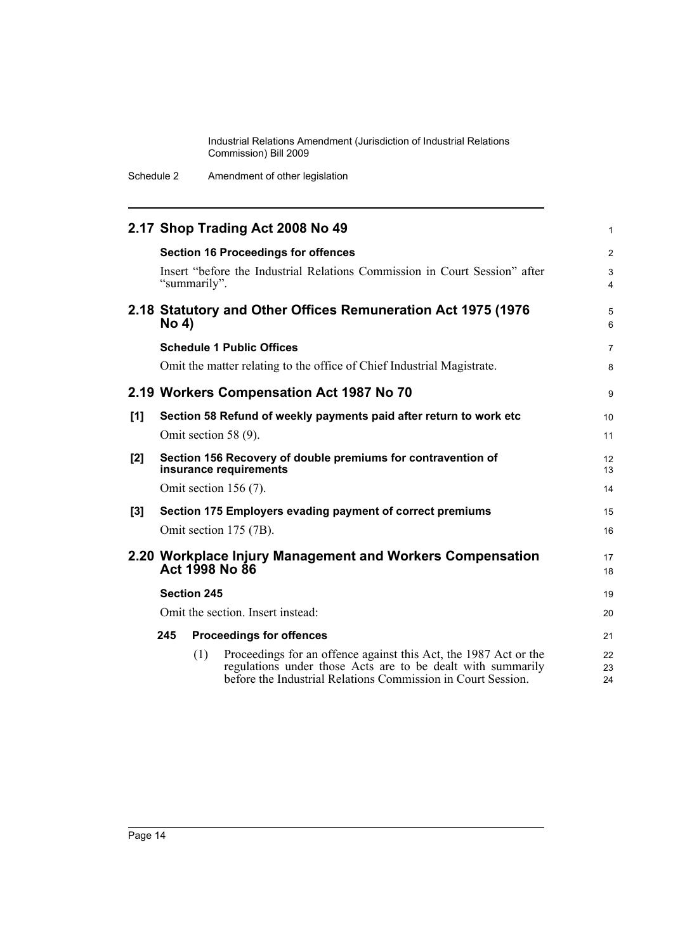Schedule 2 Amendment of other legislation

|                                                                             |                                                                               |              | 2.17 Shop Trading Act 2008 No 49                                                                                                                                                                | 1                   |
|-----------------------------------------------------------------------------|-------------------------------------------------------------------------------|--------------|-------------------------------------------------------------------------------------------------------------------------------------------------------------------------------------------------|---------------------|
|                                                                             |                                                                               |              | <b>Section 16 Proceedings for offences</b>                                                                                                                                                      | 2                   |
|                                                                             |                                                                               | "summarily". | Insert "before the Industrial Relations Commission in Court Session" after                                                                                                                      | 3<br>$\overline{4}$ |
|                                                                             | 2.18 Statutory and Other Offices Remuneration Act 1975 (1976)<br><b>No 4)</b> |              |                                                                                                                                                                                                 | 5<br>6              |
|                                                                             |                                                                               |              | <b>Schedule 1 Public Offices</b>                                                                                                                                                                | 7                   |
|                                                                             |                                                                               |              | Omit the matter relating to the office of Chief Industrial Magistrate.                                                                                                                          | 8                   |
| 2.19 Workers Compensation Act 1987 No 70                                    |                                                                               |              |                                                                                                                                                                                                 | 9                   |
| [1]                                                                         |                                                                               |              | Section 58 Refund of weekly payments paid after return to work etc                                                                                                                              | 10                  |
|                                                                             |                                                                               |              | Omit section 58 (9).                                                                                                                                                                            | 11                  |
| [2]                                                                         |                                                                               |              | Section 156 Recovery of double premiums for contravention of<br>insurance requirements                                                                                                          | 12<br>13            |
|                                                                             |                                                                               |              | Omit section 156 (7).                                                                                                                                                                           | 14                  |
| [3]                                                                         | Section 175 Employers evading payment of correct premiums                     |              |                                                                                                                                                                                                 | 15                  |
|                                                                             |                                                                               |              | Omit section 175 (7B).                                                                                                                                                                          | 16                  |
| 2.20 Workplace Injury Management and Workers Compensation<br>Act 1998 No 86 |                                                                               |              |                                                                                                                                                                                                 | 17<br>18            |
|                                                                             | <b>Section 245</b>                                                            |              |                                                                                                                                                                                                 | 19                  |
|                                                                             | Omit the section. Insert instead:                                             |              |                                                                                                                                                                                                 |                     |
|                                                                             | 245<br><b>Proceedings for offences</b>                                        |              |                                                                                                                                                                                                 | 21                  |
|                                                                             |                                                                               | (1)          | Proceedings for an offence against this Act, the 1987 Act or the<br>regulations under those Acts are to be dealt with summarily<br>before the Industrial Relations Commission in Court Session. | 22<br>23<br>24      |